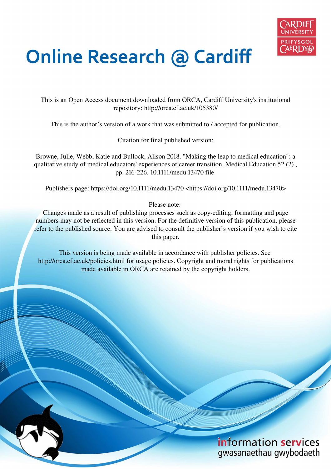

# **Online Research @ Cardiff**

This is an Open Access document downloaded from ORCA, Cardiff University's institutional repository: http://orca.cf.ac.uk/105380/

This is the author's version of a work that was submitted to / accepted for publication.

Citation for final published version:

Browne, Julie, Webb, Katie and Bullock, Alison 2018. "Making the leap to medical education": a qualitative study of medical educators' experiences of career transition. Medical Education 52 (2) , pp. 216-226. 10.1111/medu.13470 file

Publishers page: https://doi.org/10.1111/medu.13470 <https://doi.org/10.1111/medu.13470>

Please note:

Changes made as a result of publishing processes such as copy-editing, formatting and page numbers may not be reflected in this version. For the definitive version of this publication, please refer to the published source. You are advised to consult the publisher's version if you wish to cite this paper.

This version is being made available in accordance with publisher policies. See http://orca.cf.ac.uk/policies.html for usage policies. Copyright and moral rights for publications made available in ORCA are retained by the copyright holders.

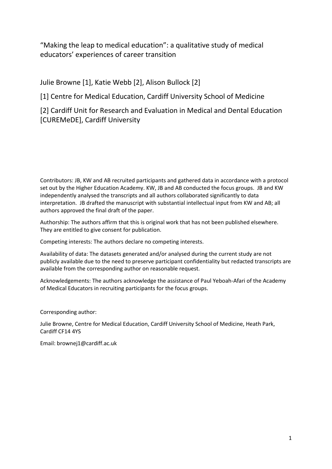"Making the leap to medical education": a qualitative study of medical educators' experiences of career transition

Julie Browne [1], Katie Webb [2], Alison Bullock [2]

[1] Centre for Medical Education, Cardiff University School of Medicine

[2] Cardiff Unit for Research and Evaluation in Medical and Dental Education [CUREMeDE], Cardiff University

Contributors: JB, KW and AB recruited participants and gathered data in accordance with a protocol set out by the Higher Education Academy. KW, JB and AB conducted the focus groups. JB and KW independently analysed the transcripts and all authors collaborated significantly to data interpretation. JB drafted the manuscript with substantial intellectual input from KW and AB; all authors approved the final draft of the paper.

Authorship: The authors affirm that this is original work that has not been published elsewhere. They are entitled to give consent for publication.

Competing interests: The authors declare no competing interests.

Availability of data: The datasets generated and/or analysed during the current study are not publicly available due to the need to preserve participant confidentiality but redacted transcripts are available from the corresponding author on reasonable request.

Acknowledgements: The authors acknowledge the assistance of Paul Yeboah-Afari of the Academy of Medical Educators in recruiting participants for the focus groups.

Corresponding author:

Julie Browne, Centre for Medical Education, Cardiff University School of Medicine, Heath Park, Cardiff CF14 4YS

Email: brownej1@cardiff.ac.uk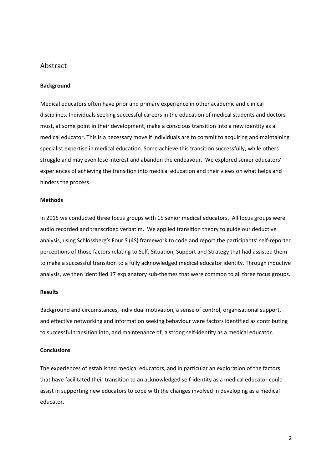# Abstract

#### **Background**

Medical educators often have prior and primary experience in other academic and clinical disciplines. Individuals seeking successful careers in the education of medical students and doctors must, at some point in their development, make a conscious transition into a new identity as a medical educator. This is a necessary move if individuals are to commit to acquiring and maintaining specialist expertise in medical education. Some achieve this transition successfully, while others struggle and may even lose interest and abandon the endeavour. We explored senior educators' experiences of achieving the transition into medical education and their views on what helps and hinders the process.

#### **Methods**

In 2015 we conducted three focus groups with 15 senior medical educators. All focus groups were audio recorded and transcribed verbatim. We applied transition theory to guide our deductive analysis, using Schlossberg's Four S (4S) framework to code and report the participants' self-reported perceptions of those factors relating to Self, Situation, Support and Strategy that had assisted them to make a successful transition to a fully acknowledged medical educator identity. Through inductive analysis, we then identified 17 explanatory sub-themes that were common to all three focus groups.

#### **Results**

Background and circumstances, individual motivation, a sense of control, organisational support, and effective networking and information seeking behaviour were factors identified as contributing to successful transition into, and maintenance of, a strong self-identity as a medical educator.

### **Conclusions**

The experiences of established medical educators, and in particular an exploration of the factors that have facilitated their transition to an acknowledged self-identity as a medical educator could assist in supporting new educators to cope with the changes involved in developing as a medical educator.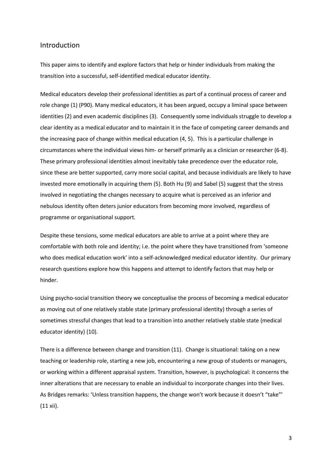# Introduction

This paper aims to identify and explore factors that help or hinder individuals from making the transition into a successful, self-identified medical educator identity.

Medical educators develop their professional identities as part of a continual process of career and role change (1) (P90). Many medical educators, it has been argued, occupy a liminal space between identities (2) and even academic disciplines (3). Consequently some individuals struggle to develop a clear identity as a medical educator and to maintain it in the face of competing career demands and the increasing pace of change within medical education (4, 5). This is a particular challenge in circumstances where the individual views him- or herself primarily as a clinician or researcher (6-8). These primary professional identities almost inevitably take precedence over the educator role, since these are better supported, carry more social capital, and because individuals are likely to have invested more emotionally in acquiring them (5). Both Hu (9) and Sabel (5) suggest that the stress involved in negotiating the changes necessary to acquire what is perceived as an inferior and nebulous identity often deters junior educators from becoming more involved, regardless of programme or organisational support.

Despite these tensions, some medical educators are able to arrive at a point where they are comfortable with both role and identity; i.e. the point where they have transitioned from 'someone who does medical education work' into a self-acknowledged medical educator identity. Our primary research questions explore how this happens and attempt to identify factors that may help or hinder.

Using psycho-social transition theory we conceptualise the process of becoming a medical educator as moving out of one relatively stable state (primary professional identity) through a series of sometimes stressful changes that lead to a transition into another relatively stable state (medical educator identity) (10).

There is a difference between change and transition (11). Change is situational: taking on a new teaching or leadership role, starting a new job, encountering a new group of students or managers, or working within a different appraisal system. Transition, however, is psychological: it concerns the inner alterations that are necessary to enable an individual to incorporate changes into their lives. As Bridges remarks: 'Unless transition happens, the change won't work because it doesn't "take"'  $(11 xii)$ .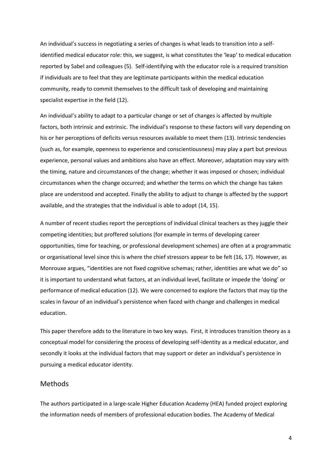An individual's success in negotiating a series of changes is what leads to transition into a selfidentified medical educator role: this, we suggest, is what constitutes the 'leap' to medical education reported by Sabel and colleagues (5). Self-identifying with the educator role is a required transition if individuals are to feel that they are legitimate participants within the medical education community, ready to commit themselves to the difficult task of developing and maintaining specialist expertise in the field (12).

An individual's ability to adapt to a particular change or set of changes is affected by multiple factors, both intrinsic and extrinsic. The individual's response to these factors will vary depending on his or her perceptions of deficits versus resources available to meet them (13). Intrinsic tendencies (such as, for example, openness to experience and conscientiousness) may play a part but previous experience, personal values and ambitions also have an effect. Moreover, adaptation may vary with the timing, nature and circumstances of the change; whether it was imposed or chosen; individual circumstances when the change occurred; and whether the terms on which the change has taken place are understood and accepted. Finally the ability to adjust to change is affected by the support available, and the strategies that the individual is able to adopt (14, 15).

A number of recent studies report the perceptions of individual clinical teachers as they juggle their competing identities; but proffered solutions (for example in terms of developing career opportunities, time for teaching, or professional development schemes) are often at a programmatic or organisational level since this is where the chief stressors appear to be felt (16, 17). However, as Monrouxe argues, "identities are not fixed cognitive schemas; rather, identities are what we do" so it is important to understand what factors, at an individual level, facilitate or impede the 'doing' or performance of medical education (12). We were concerned to explore the factors that may tip the scales in favour of an individual's persistence when faced with change and challenges in medical education.

This paper therefore adds to the literature in two key ways. First, it introduces transition theory as a conceptual model for considering the process of developing self-identity as a medical educator, and secondly it looks at the individual factors that may support or deter an individual's persistence in pursuing a medical educator identity.

# Methods

The authors participated in a large-scale Higher Education Academy (HEA) funded project exploring the information needs of members of professional education bodies. The Academy of Medical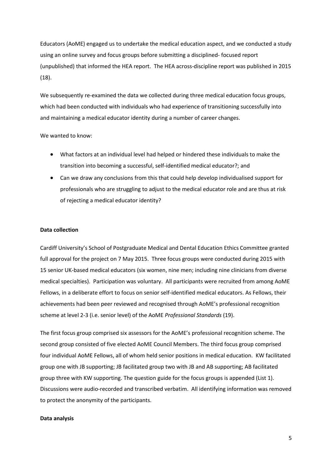Educators (AoME) engaged us to undertake the medical education aspect, and we conducted a study using an online survey and focus groups before submitting a disciplined- focused report (unpublished) that informed the HEA report. The HEA across-discipline report was published in 2015 (18).

We subsequently re-examined the data we collected during three medical education focus groups, which had been conducted with individuals who had experience of transitioning successfully into and maintaining a medical educator identity during a number of career changes.

#### We wanted to know:

- What factors at an individual level had helped or hindered these individuals to make the transition into becoming a successful, self-identified medical educator?; and
- Can we draw any conclusions from this that could help develop individualised support for professionals who are struggling to adjust to the medical educator role and are thus at risk of rejecting a medical educator identity?

#### **Data collection**

Cardiff University's School of Postgraduate Medical and Dental Education Ethics Committee granted full approval for the project on 7 May 2015. Three focus groups were conducted during 2015 with 15 senior UK-based medical educators (six women, nine men; including nine clinicians from diverse medical specialties). Participation was voluntary. All participants were recruited from among AoME Fellows, in a deliberate effort to focus on senior self-identified medical educators. As Fellows, their achievements had been peer reviewed and recognised through AoME's professional recognition scheme at level 2-3 (i.e. senior level) of the AoME *Professional Standards* (19).

The first focus group comprised six assessors for the AoME's professional recognition scheme. The second group consisted of five elected AoME Council Members. The third focus group comprised four individual AoME Fellows, all of whom held senior positions in medical education. KW facilitated group one with JB supporting; JB facilitated group two with JB and AB supporting; AB facilitated group three with KW supporting. The question guide for the focus groups is appended (List 1). Discussions were audio-recorded and transcribed verbatim. All identifying information was removed to protect the anonymity of the participants.

#### **Data analysis**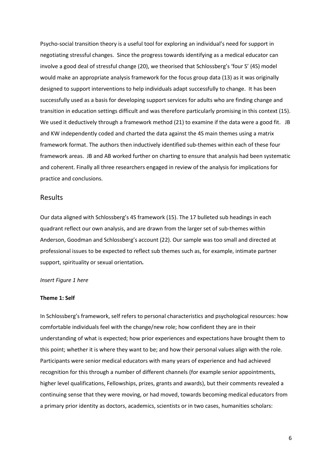Psycho-social transition theory is a useful tool for exploring an individual's need for support in negotiating stressful changes. Since the progress towards identifying as a medical educator can involve a good deal of stressful change (20), we theorised that Schlossberg's 'four S' (4S) model would make an appropriate analysis framework for the focus group data (13) as it was originally designed to support interventions to help individuals adapt successfully to change. It has been successfully used as a basis for developing support services for adults who are finding change and transition in education settings difficult and was therefore particularly promising in this context (15). We used it deductively through a framework method (21) to examine if the data were a good fit. JB and KW independently coded and charted the data against the 4S main themes using a matrix framework format. The authors then inductively identified sub-themes within each of these four framework areas. JB and AB worked further on charting to ensure that analysis had been systematic and coherent. Finally all three researchers engaged in review of the analysis for implications for practice and conclusions.

# Results

Our data aligned with Schlossberg's 4S framework (15). The 17 bulleted sub headings in each quadrant reflect our own analysis, and are drawn from the larger set of sub-themes within Anderson, Goodman and Schlossberg's account (22). Our sample was too small and directed at professional issues to be expected to reflect sub themes such as, for example, intimate partner support, spirituality or sexual orientation*.*

#### *Insert Figure 1 here*

#### **Theme 1: Self**

In Schlossberg's framework, self refers to personal characteristics and psychological resources: how comfortable individuals feel with the change/new role; how confident they are in their understanding of what is expected; how prior experiences and expectations have brought them to this point; whether it is where they want to be; and how their personal values align with the role. Participants were senior medical educators with many years of experience and had achieved recognition for this through a number of different channels (for example senior appointments, higher level qualifications, Fellowships, prizes, grants and awards), but their comments revealed a continuing sense that they were moving, or had moved, towards becoming medical educators from a primary prior identity as doctors, academics, scientists or in two cases, humanities scholars: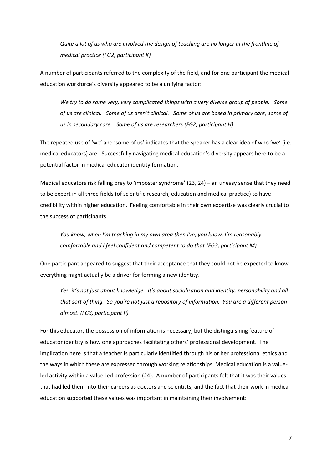Quite a lot of us who are involved the design of teaching are no longer in the frontline of medical practice (FG2, participant K)

A number of participants referred to the complexity of the field, and for one participant the medical education workforce's diversity appeared to be a unifying factor:

We try to do some very, very complicated things with a very diverse group of people. Some of us are clinical. Some of us aren't clinical. Some of us are based in primary care, some of us in secondary care. Some of us are researchers (FG2, participant H)

The repeated use of 'we' and 'some of us' indicates that the speaker has a clear idea of who 'we' (i.e. medical educators) are. Successfully navigating medical education's diversity appears here to be a potential factor in medical educator identity formation.

Medical educators risk falling prey to 'imposter syndrome' (23, 24) – an uneasy sense that they need to be expert in all three fields (of scientific research, education and medical practice) to have credibility within higher education. Feeling comfortable in their own expertise was clearly crucial to the success of participants

You know, when I'm teaching in my own area then I'm, you know, I'm reasonably comfortable and I feel confident and competent to do that (FG3, participant M)

One participant appeared to suggest that their acceptance that they could not be expected to know everything might actually be a driver for forming a new identity.

Yes, it's not just about knowledge. It's about socialisation and identity, personability and all that sort of thing. So you're not just a repository of information. You are a different person almost. (FG3, participant P)

For this educator, the possession of information is necessary; but the distinguishing feature of educator identity is how one approaches facilitating others' professional development. The implication here is that a teacher is particularly identified through his or her professional ethics and the ways in which these are expressed through working relationships. Medical education is a valueled activity within a value-led profession (24). A number of participants felt that it was their values that had led them into their careers as doctors and scientists, and the fact that their work in medical education supported these values was important in maintaining their involvement: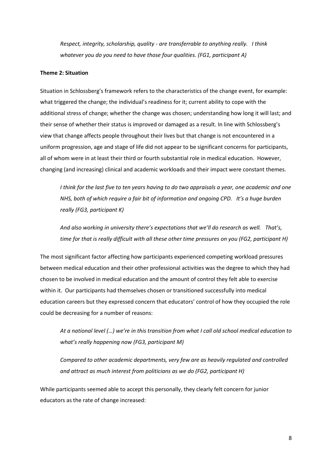*Respect, integrity, scholarship, quality - are transferrable to anything really. I think whatever you do you need to have those four qualities. (FG1, participant A)* 

#### **Theme 2: Situation**

Situation in Schlossberg's framework refers to the characteristics of the change event, for example: what triggered the change; the individual's readiness for it; current ability to cope with the additional stress of change; whether the change was chosen; understanding how long it will last; and their sense of whether their status is improved or damaged as a result. In line with Schlossberg's view that change affects people throughout their lives but that change is not encountered in a uniform progression, age and stage of life did not appear to be significant concerns for participants, all of whom were in at least their third or fourth substantial role in medical education. However, changing (and increasing) clinical and academic workloads and their impact were constant themes.

*I think for the last five to ten years having to do two appraisals a year, one academic and one NHS, both of which require a fair bit of information and ongoing CPD. It's a huge burden really (FG3, participant K)* 

And also working in university there's expectations that we'll do research as well. That's, *time for that is really difficult with all these other time pressures on you (FG2, participant H)* 

The most significant factor affecting how participants experienced competing workload pressures between medical education and their other professional activities was the degree to which they had chosen to be involved in medical education and the amount of control they felt able to exercise within it. Our participants had themselves chosen or transitioned successfully into medical education careers but they expressed concern that educators' control of how they occupied the role could be decreasing for a number of reasons:

*At a national level (…) ǁe'ƌe in this transition from what I call old school medical education to what's really happening now (FG3, participant M)* 

*Compared to other academic departments, very few are as heavily regulated and controlled and attract as much interest from politicians as we do (FG2, participant H)* 

While participants seemed able to accept this personally, they clearly felt concern for junior educators as the rate of change increased: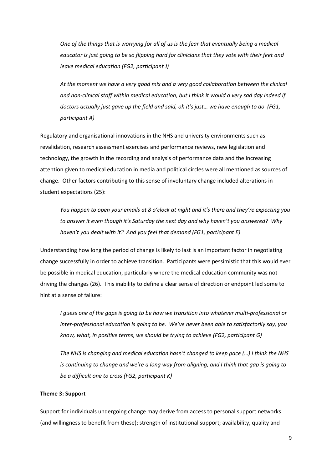One of the things that is worrying for all of us is the fear that eventually being a medical educator is just going to be so flipping hard for clinicians that they vote with their feet and leave medical education (FG2, participant J)

At the moment we have a very good mix and a very good collaboration between the clinical and non-clinical staff within medical education, but I think it would a very sad day indeed if doctors actually just gave up the field and said, oh it's just... we have enough to do (FG1, participant A)

Regulatory and organisational innovations in the NHS and university environments such as revalidation, research assessment exercises and performance reviews, new legislation and technology, the growth in the recording and analysis of performance data and the increasing attention given to medical education in media and political circles were all mentioned as sources of change. Other factors contributing to this sense of involuntary change included alterations in student expectations (25):

You happen to open your emails at 8 o'clock at night and it's there and they're expecting you to answer it even though it's Saturday the next day and why haven't you answered? Why haven't you dealt with it? And you feel that demand (FG1, participant E)

Understanding how long the period of change is likely to last is an important factor in negotiating change successfully in order to achieve transition. Participants were pessimistic that this would ever be possible in medical education, particularly where the medical education community was not driving the changes (26). This inability to define a clear sense of direction or endpoint led some to hint at a sense of failure:

I quess one of the gaps is going to be how we transition into whatever multi-professional or inter-professional education is going to be. We've never been able to satisfactorily say, you know, what, in positive terms, we should be trying to achieve (FG2, participant G)

The NHS is changing and medical education hasn't changed to keep pace (...) I think the NHS is continuing to change and we're a long way from aligning, and I think that gap is going to be a difficult one to cross (FG2, participant K)

# Theme 3: Support

Support for individuals undergoing change may derive from access to personal support networks (and willingness to benefit from these); strength of institutional support; availability, quality and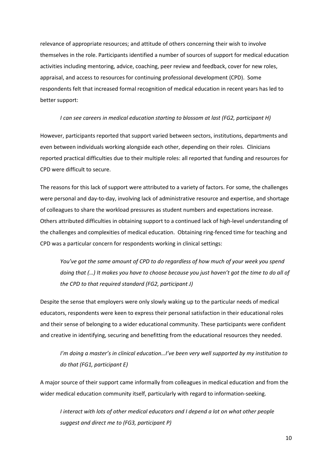relevance of appropriate resources; and attitude of others concerning their wish to involve themselves in the role. Participants identified a number of sources of support for medical education activities including mentoring, advice, coaching, peer review and feedback, cover for new roles, appraisal, and access to resources for continuing professional development (CPD). Some respondents felt that increased formal recognition of medical education in recent years has led to better support:

#### I can see careers in medical education starting to blossom at last (FG2, participant H)

However, participants reported that support varied between sectors, institutions, departments and even between individuals working alongside each other, depending on their roles. Clinicians reported practical difficulties due to their multiple roles: all reported that funding and resources for CPD were difficult to secure.

The reasons for this lack of support were attributed to a variety of factors. For some, the challenges were personal and day-to-day, involving lack of administrative resource and expertise, and shortage of colleagues to share the workload pressures as student numbers and expectations increase. Others attributed difficulties in obtaining support to a continued lack of high-level understanding of the challenges and complexities of medical education. Obtaining ring-fenced time for teaching and CPD was a particular concern for respondents working in clinical settings:

You've got the same amount of CPD to do regardless of how much of your week you spend doing that (...) It makes you have to choose because you just haven't got the time to do all of the CPD to that reauired standard (FG2, participant J)

Despite the sense that employers were only slowly waking up to the particular needs of medical educators, respondents were keen to express their personal satisfaction in their educational roles and their sense of belonging to a wider educational community. These participants were confident and creative in identifying, securing and benefitting from the educational resources they needed.

I'm doing a master's in clinical education...I've been very well supported by my institution to do that (FG1, participant E)

A major source of their support came informally from colleagues in medical education and from the wider medical education community itself, particularly with regard to information-seeking.

I interact with lots of other medical educators and I depend a lot on what other people suggest and direct me to (FG3, participant P)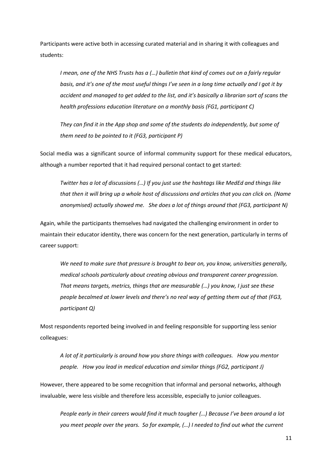Participants were active both in accessing curated material and in sharing it with colleagues and students:

I mean, one of the NHS Trusts has a (...) bulletin that kind of comes out on a fairly regular basis, and it's one of the most useful things I've seen in a long time actually and I got it by accident and managed to get added to the list, and it's basically a librarian sort of scans the health professions education literature on a monthly basis (FG1, participant C)

They can find it in the App shop and some of the students do independently, but some of them need to be pointed to it (FG3, participant P)

Social media was a significant source of informal community support for these medical educators, although a number reported that it had required personal contact to get started:

Twitter has a lot of discussions (...) If you just use the hashtags like MedEd and things like that then it will bring up a whole host of discussions and articles that you can click on. (Name anonymised) actually showed me. She does a lot of things around that (FG3, participant N)

Again, while the participants themselves had navigated the challenging environment in order to maintain their educator identity, there was concern for the next generation, particularly in terms of career support:

We need to make sure that pressure is brought to bear on, you know, universities generally, medical schools particularly about creating obvious and transparent career progression. That means targets, metrics, things that are measurable (...) you know, I just see these people becalmed at lower levels and there's no real way of getting them out of that (FG3, participant Q)

Most respondents reported being involved in and feeling responsible for supporting less senior colleagues:

A lot of it particularly is around how you share things with colleagues. How you mentor people. How you lead in medical education and similar things (FG2, participant J)

However, there appeared to be some recognition that informal and personal networks, although invaluable, were less visible and therefore less accessible, especially to junior colleagues.

People early in their careers would find it much tougher (...) Because I've been around a lot you meet people over the years. So for example, (...) I needed to find out what the current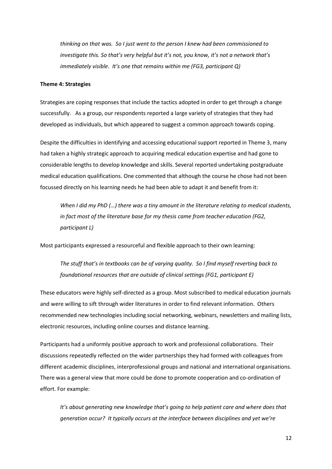thinking on that was. So I just went to the person I knew had been commissioned to investigate this. So that's very helpful but it's not, you know, it's not a network that's immediately visible. It's one that remains within me (FG3, participant Q)

#### **Theme 4: Strategies**

Strategies are coping responses that include the tactics adopted in order to get through a change successfully. As a group, our respondents reported a large variety of strategies that they had developed as individuals, but which appeared to suggest a common approach towards coping.

Despite the difficulties in identifying and accessing educational support reported in Theme 3, many had taken a highly strategic approach to acquiring medical education expertise and had gone to considerable lengths to develop knowledge and skills. Several reported undertaking postgraduate medical education qualifications. One commented that although the course he chose had not been focussed directly on his learning needs he had been able to adapt it and benefit from it:

When I did my PhD (...) there was a tiny amount in the literature relating to medical students, in fact most of the literature base for my thesis came from teacher education (FG2, participant L)

Most participants expressed a resourceful and flexible approach to their own learning:

The stuff that's in textbooks can be of varying quality. So I find myself reverting back to foundational resources that are outside of clinical settings (FG1, participant E)

These educators were highly self-directed as a group. Most subscribed to medical education journals and were willing to sift through wider literatures in order to find relevant information. Others recommended new technologies including social networking, webinars, newsletters and mailing lists, electronic resources, including online courses and distance learning.

Participants had a uniformly positive approach to work and professional collaborations. Their discussions repeatedly reflected on the wider partnerships they had formed with colleagues from different academic disciplines, interprofessional groups and national and international organisations. There was a general view that more could be done to promote cooperation and co-ordination of effort. For example:

It's about generating new knowledge that's going to help patient care and where does that generation occur? It typically occurs at the interface between disciplines and yet we're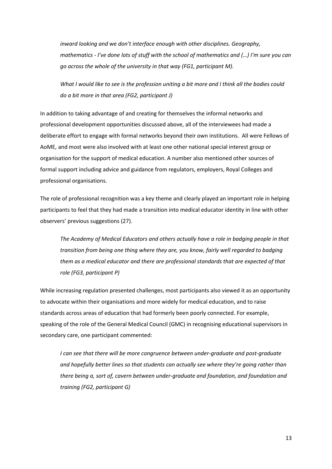inward looking and we don't interface enough with other disciplines. Geography, mathematics - I've done lots of stuff with the school of mathematics and (...) I'm sure you can go across the whole of the university in that way (FG1, participant M).

What I would like to see is the profession uniting a bit more and I think all the bodies could do a bit more in that area (FG2, participant J)

In addition to taking advantage of and creating for themselves the informal networks and professional development opportunities discussed above, all of the interviewees had made a deliberate effort to engage with formal networks beyond their own institutions. All were Fellows of AoME, and most were also involved with at least one other national special interest group or organisation for the support of medical education. A number also mentioned other sources of formal support including advice and guidance from regulators, employers, Royal Colleges and professional organisations.

The role of professional recognition was a key theme and clearly played an important role in helping participants to feel that they had made a transition into medical educator identity in line with other observers' previous suggestions (27).

The Academy of Medical Educators and others actually have a role in badging people in that transition from being one thing where they are, you know, fairly well regarded to badging them as a medical educator and there are professional standards that are expected of that role (FG3, participant P)

While increasing regulation presented challenges, most participants also viewed it as an opportunity to advocate within their organisations and more widely for medical education, and to raise standards across areas of education that had formerly been poorly connected. For example, speaking of the role of the General Medical Council (GMC) in recognising educational supervisors in secondary care, one participant commented:

I can see that there will be more congruence between under-graduate and post-graduate and hopefully better lines so that students can actually see where they're going rather than there being a, sort of, cavern between under-graduate and foundation, and foundation and training (FG2, participant G)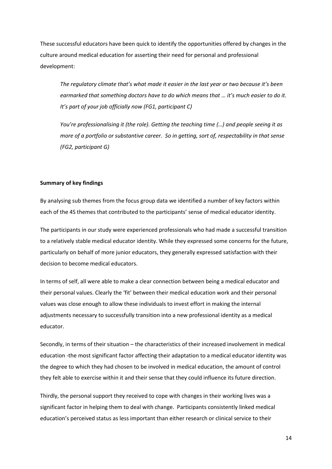These successful educators have been quick to identify the opportunities offered by changes in the culture around medical education for asserting their need for personal and professional development:

The regulatory climate that's what made it easier in the last year or two because it's been earmarked that something doctors have to do which means that ... it's much easier to do it. It's part of your job officially now (FG1, participant C)

You're professionalising it (the role). Getting the teaching time (...) and people seeing it as more of a portfolio or substantive career. So in getting, sort of, respectability in that sense (FG2, participant G)

#### **Summary of key findings**

By analysing sub themes from the focus group data we identified a number of key factors within each of the 4S themes that contributed to the participants' sense of medical educator identity.

The participants in our study were experienced professionals who had made a successful transition to a relatively stable medical educator identity. While they expressed some concerns for the future, particularly on behalf of more junior educators, they generally expressed satisfaction with their decision to become medical educators.

In terms of self, all were able to make a clear connection between being a medical educator and their personal values. Clearly the 'fit' between their medical education work and their personal values was close enough to allow these individuals to invest effort in making the internal adjustments necessary to successfully transition into a new professional identity as a medical educator.

Secondly, in terms of their situation - the characteristics of their increased involvement in medical education -the most significant factor affecting their adaptation to a medical educator identity was the degree to which they had chosen to be involved in medical education, the amount of control they felt able to exercise within it and their sense that they could influence its future direction.

Thirdly, the personal support they received to cope with changes in their working lives was a significant factor in helping them to deal with change. Participants consistently linked medical education's perceived status as less important than either research or clinical service to their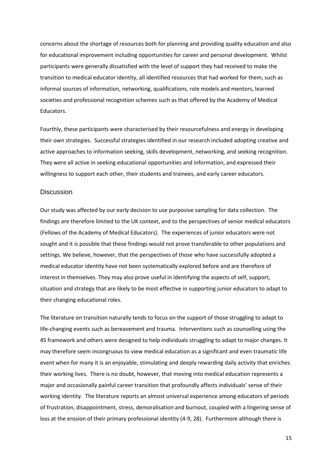concerns about the shortage of resources both for planning and providing quality education and also for educational improvement including opportunities for career and personal development. Whilst participants were generally dissatisfied with the level of support they had received to make the transition to medical educator identity, all identified resources that had worked for them, such as informal sources of information, networking, qualifications, role models and mentors, learned societies and professional recognition schemes such as that offered by the Academy of Medical Educators.

Fourthly, these participants were characterised by their resourcefulness and energy in developing their own strategies. Successful strategies identified in our research included adopting creative and active approaches to information seeking, skills development, networking, and seeking recognition. They were all active in seeking educational opportunities and information, and expressed their willingness to support each other, their students and trainees, and early career educators.

# **Discussion**

Our study was affected by our early decision to use purposive sampling for data collection. The findings are therefore limited to the UK context, and to the perspectives of senior medical educators (Fellows of the Academy of Medical Educators). The experiences of junior educators were not sought and it is possible that these findings would not prove transferable to other populations and settings. We believe, however, that the perspectives of those who have successfully adopted a medical educator identity have not been systematically explored before and are therefore of interest in themselves. They may also prove useful in identifying the aspects of self, support, situation and strategy that are likely to be most effective in supporting junior educators to adapt to their changing educational roles.

The literature on transition naturally tends to focus on the support of those struggling to adapt to life-changing events such as bereavement and trauma. Interventions such as counselling using the 4S framework and others were designed to help individuals struggling to adapt to major changes. It may therefore seem incongruous to view medical education as a significant and even traumatic life event when for many it is an enjoyable, stimulating and deeply rewarding daily activity that enriches their working lives. There is no doubt, however, that moving into medical education represents a major and occasionally painful career transition that profoundly affects individuals' sense of their working identity. The literature reports an almost universal experience among educators of periods of frustration, disappointment, stress, demoralisation and burnout, coupled with a lingering sense of loss at the erosion of their primary professional identity (4-9, 28). Furthermore although there is

15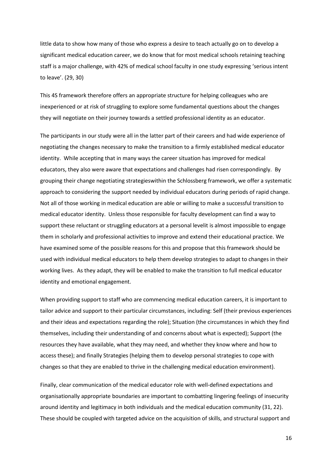little data to show how many of those who express a desire to teach actually go on to develop a significant medical education career, we do know that for most medical schools retaining teaching staff is a major challenge, with 42% of medical school faculty in one study expressing 'serious intent to leave'. (29, 30)

This 4S framework therefore offers an appropriate structure for helping colleagues who are inexperienced or at risk of struggling to explore some fundamental questions about the changes they will negotiate on their journey towards a settled professional identity as an educator.

The participants in our study were all in the latter part of their careers and had wide experience of negotiating the changes necessary to make the transition to a firmly established medical educator identity. While accepting that in many ways the career situation has improved for medical educators, they also were aware that expectations and challenges had risen correspondingly. By grouping their change negotiating strategieswithin the Schlossberg framework, we offer a systematic approach to considering the support needed by individual educators during periods of rapid change. Not all of those working in medical education are able or willing to make a successful transition to medical educator identity. Unless those responsible for faculty development can find a way to support these reluctant or struggling educators at a personal levelit is almost impossible to engage them in scholarly and professional activities to improve and extend their educational practice. We have examined some of the possible reasons for this and propose that this framework should be used with individual medical educators to help them develop strategies to adapt to changes in their working lives. As they adapt, they will be enabled to make the transition to full medical educator identity and emotional engagement.

When providing support to staff who are commencing medical education careers, it is important to tailor advice and support to their particular circumstances, including: Self (their previous experiences and their ideas and expectations regarding the role); Situation (the circumstances in which they find themselves, including their understanding of and concerns about what is expected); Support (the resources they have available, what they may need, and whether they know where and how to access these); and finally Strategies (helping them to develop personal strategies to cope with changes so that they are enabled to thrive in the challenging medical education environment).

Finally, clear communication of the medical educator role with well-defined expectations and organisationally appropriate boundaries are important to combatting lingering feelings of insecurity around identity and legitimacy in both individuals and the medical education community (31, 22). These should be coupled with targeted advice on the acquisition of skills, and structural support and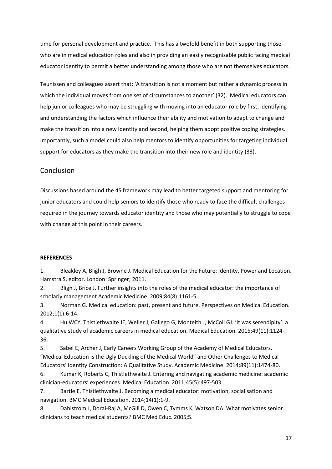time for personal development and practice. This has a twofold benefit in both supporting those who are in medical education roles and also in providing an easily recognisable public facing medical educator identity to permit a better understanding among those who are not themselves educators.

Teunissen and colleagues assert that: 'A transition is not a moment but rather a dynamic process in which the individual moves from one set of circumstances to another' (32). Medical educators can help junior colleagues who may be struggling with moving into an educator role by first, identifying and understanding the factors which influence their ability and motivation to adapt to change and make the transition into a new identity and second, helping them adopt positive coping strategies. Importantly, such a model could also help mentors to identify opportunities for targeting individual support for educators as they make the transition into their new role and identity (33).

# Conclusion

Discussions based around the 4S framework may lead to better targeted support and mentoring for junior educators and could help seniors to identify those who ready to face the difficult challenges required in the journey towards educator identity and those who may potentially to struggle to cope with change at this point in their careers.

# **REFERENCES**

 $1.$ Bleakley A, Bligh J, Browne J. Medical Education for the Future: Identity, Power and Location. Hamstra S, editor. London: Springer; 2011.

 $2.$ Bligh J, Brice J. Further insights into the roles of the medical educator: the importance of scholarly management Academic Medicine. 2009;84(8):1161-5.

Norman G. Medical education: past, present and future. Perspectives on Medical Education.  $3.$  $2012;1(1):6-14.$ 

Hu WCY, Thistlethwaite JE, Weller J, Gallego G, Monteith J, McColl GJ. 'It was serendipity': a 4. qualitative study of academic careers in medical education. Medical Education. 2015;49(11):1124-36.

5. Sabel E, Archer J, Early Careers Working Group of the Academy of Medical Educators. "Medical Education Is the Ugly Duckling of the Medical World" and Other Challenges to Medical Educators' Identity Construction: A Qualitative Study. Academic Medicine. 2014;89(11):1474-80.

6. Kumar K, Roberts C, Thistlethwaite J. Entering and navigating academic medicine: academic clinician-educators' experiences. Medical Education. 2011;45(5):497-503.

7. Bartle E, Thistlethwaite J. Becoming a medical educator: motivation, socialisation and navigation. BMC Medical Education. 2014;14(1):1-9.

Dahlstrom J, Dorai-Raj A, McGill D, Owen C, Tymms K, Watson DA. What motivates senior 8. clinicians to teach medical students? BMC Med Educ. 2005;5.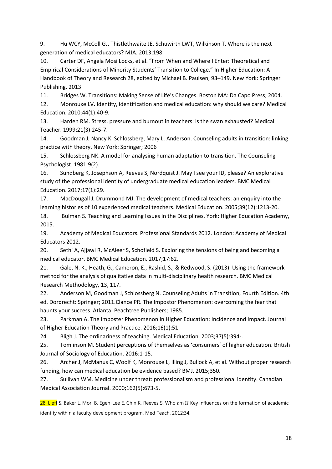9. Hu WCY, McColl GJ, Thistlethwaite JE, Schuwirth LWT, Wilkinson T. Where is the next generation of medical educators? MJA. 2013;198.

Carter DF, Angela Mosi Locks, et al. "From When and Where I Enter: Theoretical and  $10.$ Empirical Considerations of Minority Students' Transition to College." In Higher Education: A Handbook of Theory and Research 28, edited by Michael B. Paulsen, 93-149. New York: Springer Publishing, 2013

 $11.$ Bridges W. Transitions: Making Sense of Life's Changes. Boston MA: Da Capo Press; 2004.

 $12.$ Monrouxe LV. Identity, identification and medical education: why should we care? Medical Education. 2010;44(1):40-9.

Harden RM. Stress, pressure and burnout in teachers: is the swan exhausted? Medical 13. Teacher. 1999;21(3):245-7.

14. Goodman J, Nancy K. Schlossberg, Mary L. Anderson. Counseling adults in transition: linking practice with theory. New York: Springer; 2006

Schlossberg NK. A model for analysing human adaptation to transition. The Counseling 15. Psychologist. 1981;9(2).

16. Sundberg K, Josephson A, Reeves S, Nordquist J. May I see your ID, please? An explorative study of the professional identity of undergraduate medical education leaders. BMC Medical Education. 2017;17(1):29.

17. MacDougall J, Drummond MJ. The development of medical teachers: an enquiry into the learning histories of 10 experienced medical teachers. Medical Education. 2005;39(12):1213-20.

18. Bulman S. Teaching and Learning Issues in the Disciplines. York: Higher Education Academy, 2015.

19. Academy of Medical Educators. Professional Standards 2012. London: Academy of Medical Educators 2012.

 $20.$ Sethi A, Ajjawi R, McAleer S, Schofield S. Exploring the tensions of being and becoming a medical educator. BMC Medical Education. 2017;17:62.

Gale, N. K., Heath, G., Cameron, E., Rashid, S., & Redwood, S. (2013). Using the framework  $21.$ method for the analysis of qualitative data in multi-disciplinary health research. BMC Medical Research Methodology, 13, 117.

 $22.$ Anderson M, Goodman J, Schlossberg N. Counseling Adults in Transition, Fourth Edition. 4th ed. Dordrecht: Springer; 2011. Clance PR. The Impostor Phenomenon: overcoming the fear that haunts your success. Atlanta: Peachtree Publishers; 1985.

23. Parkman A. The Imposter Phenomenon in Higher Education: Incidence and Impact. Journal of Higher Education Theory and Practice. 2016;16(1):51.

Bligh J. The ordinariness of teaching. Medical Education. 2003;37(5):394-. 24.

25. Tomlinson M. Student perceptions of themselves as 'consumers' of higher education. British Journal of Sociology of Education. 2016:1-15.

26. Archer J, McManus C, Woolf K, Monrouxe L, Illing J, Bullock A, et al. Without proper research funding, how can medical education be evidence based? BMJ. 2015;350.

27. Sullivan WM. Medicine under threat: professionalism and professional identity. Canadian Medical Association Journal. 2000;162(5):673-5.

28. Lieff S, Baker L, Mori B, Egen-Lee E, Chin K, Reeves S. Who am I? Key influences on the formation of academic identity within a faculty development program. Med Teach, 2012:34.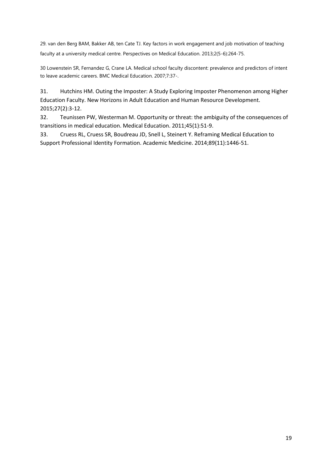29. van den Berg BAM, Bakker AB, ten Cate TJ. Key factors in work engagement and job motivation of teaching faculty at a university medical centre. Perspectives on Medical Education. 2013;2(5-6):264-75.

30 Lowenstein SR, Fernandez G, Crane LA. Medical school faculty discontent: prevalence and predictors of intent to leave academic careers. BMC Medical Education. 2007;7:37-.

31. Hutchins HM. Outing the Imposter: A Study Exploring Imposter Phenomenon among Higher Education Faculty. New Horizons in Adult Education and Human Resource Development. 2015;27(2):3-12.

32. Teunissen PW, Westerman M. Opportunity or threat: the ambiguity of the consequences of transitions in medical education. Medical Education. 2011;45(1):51-9.

33. Cruess RL, Cruess SR, Boudreau JD, Snell L, Steinert Y. Reframing Medical Education to Support Professional Identity Formation. Academic Medicine. 2014;89(11):1446-51.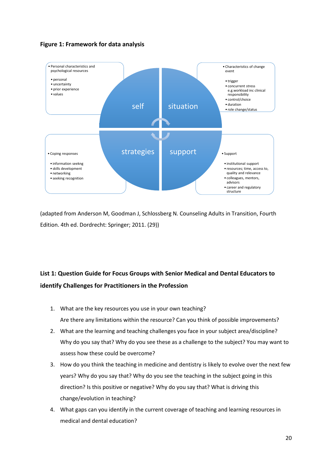



(adapted from Anderson M, Goodman J, Schlossberg N. Counseling Adults in Transition, Fourth Edition. 4th ed. Dordrecht: Springer; 2011. (29))

# **List 1: Question Guide for Focus Groups with Senior Medical and Dental Educators to identify Challenges for Practitioners in the Profession**

- 1. What are the key resources you use in your own teaching? Are there any limitations within the resource? Can you think of possible improvements?
- 2. What are the learning and teaching challenges you face in your subject area/discipline? Why do you say that? Why do you see these as a challenge to the subject? You may want to assess how these could be overcome?
- 3. How do you think the teaching in medicine and dentistry is likely to evolve over the next few years? Why do you say that? Why do you see the teaching in the subject going in this direction? Is this positive or negative? Why do you say that? What is driving this change/evolution in teaching?
- 4. What gaps can you identify in the current coverage of teaching and learning resources in medical and dental education?